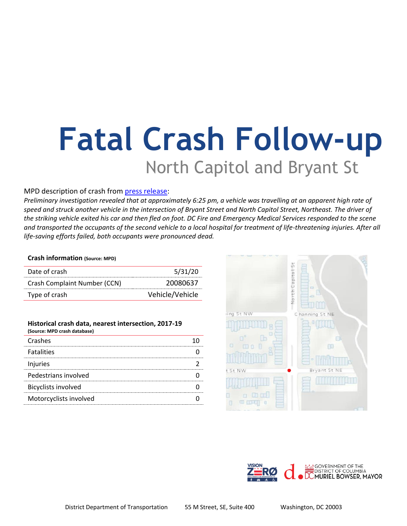# **Fatal Crash Follow-up** North Capitol and Bryant St

### MPD description of crash from [press release:](https://mpdc.dc.gov/release/traffic-fatality-arrest-made-hit-and-run-offense-intersection-bryant-street-and-north)

*Preliminary investigation revealed that at approximately 6:25 pm, a vehicle was travelling at an apparent high rate of speed and struck another vehicle in the intersection of Bryant Street and North Capitol Street, Northeast. The driver of the striking vehicle exited his car and then fled on foot. DC Fire and Emergency Medical Services responded to the scene and transported the occupants of the second vehicle to a local hospital for treatment of life-threatening injuries. After all life-saving efforts failed, both occupants were pronounced dead.*

#### **Crash information (Source: MPD)**

| Date of crash                | 5/31/20         |
|------------------------------|-----------------|
| Crash Complaint Number (CCN) | 20080637        |
| Type of crash                | Vehicle/Vehicle |

| Historical crash data, nearest intersection, 2017-19<br>(Source: MPD crash database) |  |
|--------------------------------------------------------------------------------------|--|
| Crashes                                                                              |  |
| <b>Fatalities</b>                                                                    |  |
| Injuries                                                                             |  |
| Pedestrians involved                                                                 |  |
| <b>Bicyclists involved</b>                                                           |  |
| Motorcyclists involved                                                               |  |